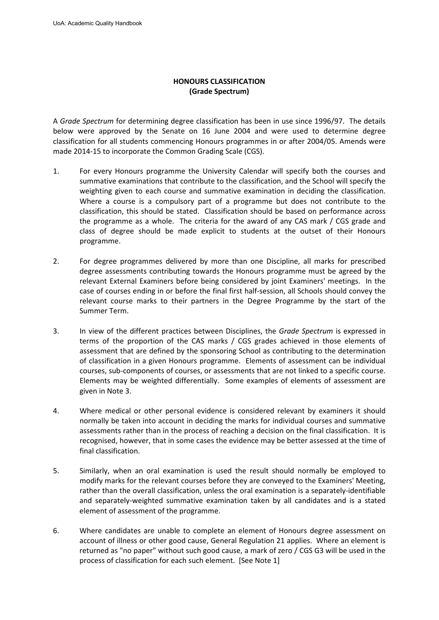## **HONOURS CLASSIFICATION (Grade Spectrum)**

A *Grade Spectrum* for determining degree classification has been in use since 1996/97. The details below were approved by the Senate on 16 June 2004 and were used to determine degree classification for all students commencing Honours programmes in or after 2004/05. Amends were made 2014-15 to incorporate the Common Grading Scale (CGS).

- 1. For every Honours programme the University Calendar will specify both the courses and summative examinations that contribute to the classification, and the School will specify the weighting given to each course and summative examination in deciding the classification. Where a course is a compulsory part of a programme but does not contribute to the classification, this should be stated. Classification should be based on performance across the programme as a whole. The criteria for the award of any CAS mark / CGS grade and class of degree should be made explicit to students at the outset of their Honours programme.
- 2. For degree programmes delivered by more than one Discipline, all marks for prescribed degree assessments contributing towards the Honours programme must be agreed by the relevant External Examiners before being considered by joint Examiners' meetings. In the case of courses ending in or before the final first half-session, all Schools should convey the relevant course marks to their partners in the Degree Programme by the start of the Summer Term.
- 3. In view of the different practices between Disciplines, the *Grade Spectrum* is expressed in terms of the proportion of the CAS marks / CGS grades achieved in those elements of assessment that are defined by the sponsoring School as contributing to the determination of classification in a given Honours programme. Elements of assessment can be individual courses, sub-components of courses, or assessments that are not linked to a specific course. Elements may be weighted differentially. Some examples of elements of assessment are given in Note 3.
- 4. Where medical or other personal evidence is considered relevant by examiners it should normally be taken into account in deciding the marks for individual courses and summative assessments rather than in the process of reaching a decision on the final classification. It is recognised, however, that in some cases the evidence may be better assessed at the time of final classification.
- 5. Similarly, when an oral examination is used the result should normally be employed to modify marks for the relevant courses before they are conveyed to the Examiners' Meeting, rather than the overall classification, unless the oral examination is a separately-identifiable and separately-weighted summative examination taken by all candidates and is a stated element of assessment of the programme.
- 6. Where candidates are unable to complete an element of Honours degree assessment on account of illness or other good cause, General Regulation 21 applies. Where an element is returned as "no paper" without such good cause, a mark of zero / CGS G3 will be used in the process of classification for each such element. [See Note 1]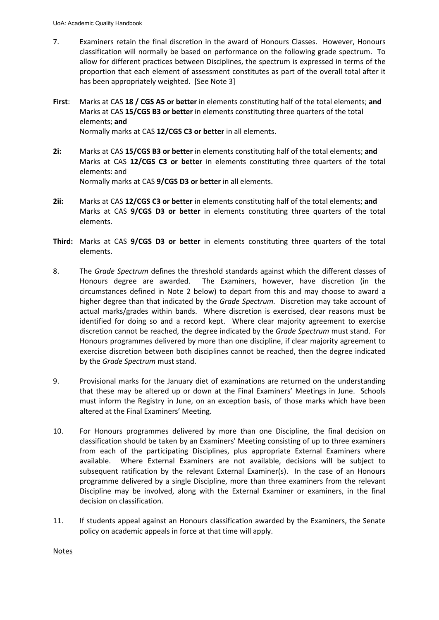- 7. Examiners retain the final discretion in the award of Honours Classes. However, Honours classification will normally be based on performance on the following grade spectrum. To allow for different practices between Disciplines, the spectrum is expressed in terms of the proportion that each element of assessment constitutes as part of the overall total after it has been appropriately weighted. [See Note 3]
- **First**: Marks at CAS **18 / CGS A5 or better** in elements constituting half of the total elements; **and** Marks at CAS **15/CGS B3 or better** in elements constituting three quarters of the total elements; **and** Normally marks at CAS **12/CGS C3 or better** in all elements.
- **2i:** Marks at CAS **15/CGS B3 or better** in elements constituting half of the total elements; **and** Marks at CAS **12/CGS C3 or better** in elements constituting three quarters of the total elements: and

Normally marks at CAS **9/CGS D3 or better** in all elements.

- **2ii:** Marks at CAS **12/CGS C3 or better** in elements constituting half of the total elements; **and** Marks at CAS **9/CGS D3 or better** in elements constituting three quarters of the total elements.
- **Third:** Marks at CAS **9/CGS D3 or better** in elements constituting three quarters of the total elements.
- 8. The *Grade Spectrum* defines the threshold standards against which the different classes of Honours degree are awarded. The Examiners, however, have discretion (in the circumstances defined in Note 2 below) to depart from this and may choose to award a higher degree than that indicated by the *Grade Spectrum.* Discretion may take account of actual marks/grades within bands. Where discretion is exercised, clear reasons must be identified for doing so and a record kept. Where clear majority agreement to exercise discretion cannot be reached, the degree indicated by the *Grade Spectrum* must stand. For Honours programmes delivered by more than one discipline, if clear majority agreement to exercise discretion between both disciplines cannot be reached, then the degree indicated by the *Grade Spectrum* must stand.
- 9. Provisional marks for the January diet of examinations are returned on the understanding that these may be altered up or down at the Final Examiners' Meetings in June. Schools must inform the Registry in June, on an exception basis, of those marks which have been altered at the Final Examiners' Meeting.
- 10. For Honours programmes delivered by more than one Discipline, the final decision on classification should be taken by an Examiners' Meeting consisting of up to three examiners from each of the participating Disciplines, plus appropriate External Examiners where available. Where External Examiners are not available, decisions will be subject to subsequent ratification by the relevant External Examiner(s). In the case of an Honours programme delivered by a single Discipline, more than three examiners from the relevant Discipline may be involved, along with the External Examiner or examiners, in the final decision on classification.
- 11. If students appeal against an Honours classification awarded by the Examiners, the Senate policy on academic appeals in force at that time will apply.

**Notes**